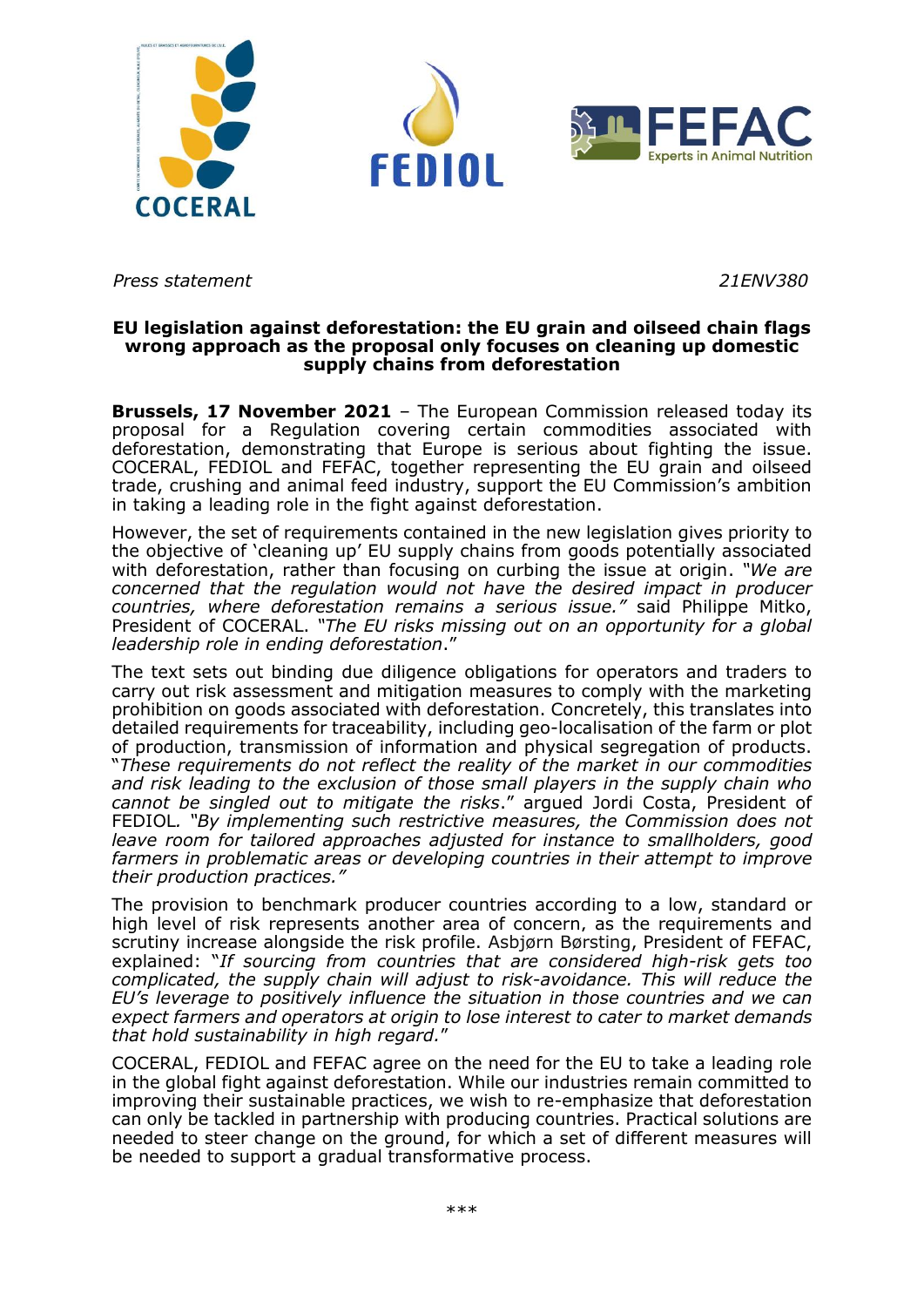

*Press statement 21ENV380*

## **EU legislation against deforestation: the EU grain and oilseed chain flags wrong approach as the proposal only focuses on cleaning up domestic supply chains from deforestation**

**Brussels, 17 November 2021** – The European Commission released today its proposal for a Regulation covering certain commodities associated with deforestation, demonstrating that Europe is serious about fighting the issue. COCERAL, FEDIOL and FEFAC, together representing the EU grain and oilseed trade, crushing and animal feed industry, support the EU Commission's ambition in taking a leading role in the fight against deforestation.

However, the set of requirements contained in the new legislation gives priority to the objective of 'cleaning up' EU supply chains from goods potentially associated with deforestation, rather than focusing on curbing the issue at origin. *"We are concerned that the regulation would not have the desired impact in producer countries, where deforestation remains a serious issue."* said Philippe Mitko, President of COCERAL. *"The EU risks missing out on an opportunity for a global leadership role in ending deforestation*."

The text sets out binding due diligence obligations for operators and traders to carry out risk assessment and mitigation measures to comply with the marketing prohibition on goods associated with deforestation. Concretely, this translates into detailed requirements for traceability, including geo-localisation of the farm or plot of production, transmission of information and physical segregation of products. "*These requirements do not reflect the reality of the market in our commodities and risk leading to the exclusion of those small players in the supply chain who cannot be singled out to mitigate the risks*." argued Jordi Costa, President of FEDIOL*. "By implementing such restrictive measures, the Commission does not leave room for tailored approaches adjusted for instance to smallholders, good farmers in problematic areas or developing countries in their attempt to improve their production practices."*

The provision to benchmark producer countries according to a low, standard or high level of risk represents another area of concern, as the requirements and scrutiny increase alongside the risk profile. Asbjørn Børsting, President of FEFAC, explained: "*If sourcing from countries that are considered high-risk gets too complicated, the supply chain will adjust to risk-avoidance. This will reduce the EU's leverage to positively influence the situation in those countries and we can expect farmers and operators at origin to lose interest to cater to market demands that hold sustainability in high regard.*"

COCERAL, FEDIOL and FEFAC agree on the need for the EU to take a leading role in the global fight against deforestation. While our industries remain committed to improving their sustainable practices, we wish to re-emphasize that deforestation can only be tackled in partnership with producing countries. Practical solutions are needed to steer change on the ground, for which a set of different measures will be needed to support a gradual transformative process.